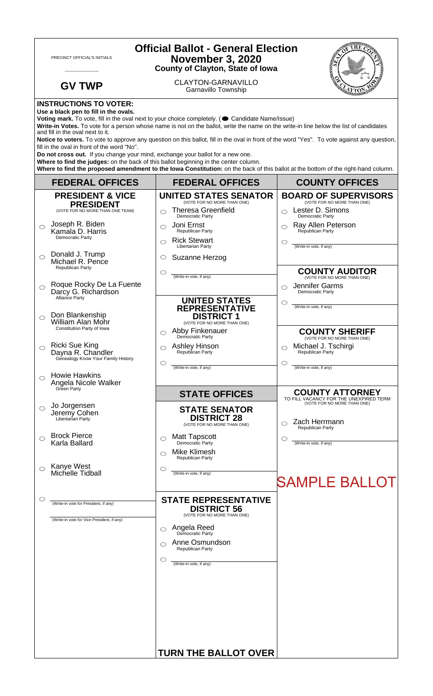| <b>Official Ballot - General Election</b><br>PRECINCT OFFICIAL'S INITIALS<br><b>November 3, 2020</b><br><b>County of Clayton, State of Iowa</b>                                                                                                                                                                                                                                                                                                                                                        |                                                                                  |                                                                                                   |                                                                       |  |
|--------------------------------------------------------------------------------------------------------------------------------------------------------------------------------------------------------------------------------------------------------------------------------------------------------------------------------------------------------------------------------------------------------------------------------------------------------------------------------------------------------|----------------------------------------------------------------------------------|---------------------------------------------------------------------------------------------------|-----------------------------------------------------------------------|--|
|                                                                                                                                                                                                                                                                                                                                                                                                                                                                                                        | <b>GV TWP</b>                                                                    | <b>CLAYTON-GARNAVILLO</b><br>Garnavillo Township                                                  |                                                                       |  |
| <b>INSTRUCTIONS TO VOTER:</b><br>Use a black pen to fill in the ovals.<br>Voting mark. To vote, fill in the oval next to your choice completely. ( Candidate Name/Issue)<br>Write-in Votes. To vote for a person whose name is not on the ballot, write the name on the write-in line below the list of candidates<br>and fill in the oval next to it.<br>Notice to voters. To vote to approve any question on this ballot, fill in the oval in front of the word "Yes". To vote against any question, |                                                                                  |                                                                                                   |                                                                       |  |
| fill in the oval in front of the word "No".<br>Do not cross out. If you change your mind, exchange your ballot for a new one.<br>Where to find the judges: on the back of this ballot beginning in the center column.<br>Where to find the proposed amendment to the lowa Constitution: on the back of this ballot at the bottom of the right-hand column.                                                                                                                                             |                                                                                  |                                                                                                   |                                                                       |  |
|                                                                                                                                                                                                                                                                                                                                                                                                                                                                                                        | <b>FEDERAL OFFICES</b>                                                           | <b>FEDERAL OFFICES</b>                                                                            | <b>COUNTY OFFICES</b>                                                 |  |
|                                                                                                                                                                                                                                                                                                                                                                                                                                                                                                        | <b>PRESIDENT &amp; VICE</b>                                                      | <b>UNITED STATES SENATOR</b>                                                                      | <b>BOARD OF SUPERVISORS</b><br>(VOTE FOR NO MORE THAN ONE)            |  |
|                                                                                                                                                                                                                                                                                                                                                                                                                                                                                                        | <b>PRESIDENT</b><br>(VOTE FOR NO MORE THAN ONE TEAM)                             | (VOTE FOR NO MORE THAN ONE)<br><b>Theresa Greenfield</b><br>◯                                     | Lester D. Simons<br>$\bigcirc$                                        |  |
| ◯                                                                                                                                                                                                                                                                                                                                                                                                                                                                                                      | Joseph R. Biden                                                                  | Democratic Party<br>Joni Ernst<br>◯                                                               | Democratic Party<br>Ray Allen Peterson                                |  |
|                                                                                                                                                                                                                                                                                                                                                                                                                                                                                                        | Kamala D. Harris<br>Democratic Party                                             | Republican Party<br><b>Rick Stewart</b><br>◯                                                      | Republican Party<br>O                                                 |  |
| ⌒                                                                                                                                                                                                                                                                                                                                                                                                                                                                                                      | Donald J. Trump                                                                  | Libertarian Party<br>Suzanne Herzog<br>O                                                          | (Write-in vote, if any)                                               |  |
|                                                                                                                                                                                                                                                                                                                                                                                                                                                                                                        | Michael R. Pence<br>Republican Party                                             |                                                                                                   | <b>COUNTY AUDITOR</b>                                                 |  |
|                                                                                                                                                                                                                                                                                                                                                                                                                                                                                                        | Roque Rocky De La Fuente                                                         | $\circlearrowright$<br>(Write-in vote, if any)                                                    | (VOTE FOR NO MORE THAN ONE)<br>Jennifer Garms                         |  |
| ◯                                                                                                                                                                                                                                                                                                                                                                                                                                                                                                      | Darcy G. Richardson<br>Alliance Party                                            |                                                                                                   | $\bigcirc$<br>Democratic Party                                        |  |
| $\bigcirc$                                                                                                                                                                                                                                                                                                                                                                                                                                                                                             | Don Blankenship<br>William Alan Mohr                                             | <b>UNITED STATES</b><br><b>REPRESENTATIVE</b><br><b>DISTRICT 1</b><br>(VOTE FOR NO MORE THAN ONE) | O<br>(Write-in vote, if any)                                          |  |
|                                                                                                                                                                                                                                                                                                                                                                                                                                                                                                        | Constitution Party of Iowa                                                       | Abby Finkenauer<br>◯<br>Democratic Party                                                          | <b>COUNTY SHERIFF</b><br>(VOTE FOR NO MORE THAN ONE)                  |  |
|                                                                                                                                                                                                                                                                                                                                                                                                                                                                                                        | <b>Ricki Sue King</b><br>Dayna R. Chandler<br>Genealogy Know Your Family History | <b>Ashley Hinson</b><br>$\bigcirc$<br>Republican Party                                            | Michael J. Tschirgi<br>◯<br>Republican Party                          |  |
|                                                                                                                                                                                                                                                                                                                                                                                                                                                                                                        | <b>Howie Hawkins</b>                                                             | $\circlearrowright$<br>(Write-in vote, if any)                                                    | O<br>(Write-in vote, if any)                                          |  |
| ◯                                                                                                                                                                                                                                                                                                                                                                                                                                                                                                      | Angela Nicole Walker<br>Green Party                                              |                                                                                                   | <b>COUNTY ATTORNEY</b>                                                |  |
|                                                                                                                                                                                                                                                                                                                                                                                                                                                                                                        | Jo Jorgensen                                                                     | <b>STATE OFFICES</b>                                                                              | TO FILL VACANCY FOR THE UNEXPIRED TERM<br>(VOTE FOR NO MORE THAN ONE) |  |
| $\circ$                                                                                                                                                                                                                                                                                                                                                                                                                                                                                                | Jeremy Cohen<br>Libertarian Party                                                | <b>STATE SENATOR</b><br><b>DISTRICT 28</b><br>(VOTE FOR NO MORE THAN ONE)                         | Zach Herrmann<br>Republican Party                                     |  |
| ⌒                                                                                                                                                                                                                                                                                                                                                                                                                                                                                                      | <b>Brock Pierce</b><br>Karla Ballard                                             | Matt Tapscott<br>Democratic Party<br>$\circ$                                                      | C<br>(Write-in vote, if any)                                          |  |
|                                                                                                                                                                                                                                                                                                                                                                                                                                                                                                        |                                                                                  | <b>Mike Klimesh</b><br>⌒<br>Republican Party                                                      |                                                                       |  |
|                                                                                                                                                                                                                                                                                                                                                                                                                                                                                                        | Kanye West<br>Michelle Tidball                                                   | $\circ$<br>(Write-in vote, if any)                                                                |                                                                       |  |
|                                                                                                                                                                                                                                                                                                                                                                                                                                                                                                        |                                                                                  |                                                                                                   | <b>SAMPLE BALLOT</b>                                                  |  |
| О                                                                                                                                                                                                                                                                                                                                                                                                                                                                                                      |                                                                                  | <b>STATE REPRESENTATIVE</b>                                                                       |                                                                       |  |
|                                                                                                                                                                                                                                                                                                                                                                                                                                                                                                        | (Write-in vote for President, if any)                                            | <b>DISTRICT 56</b><br>(VOTE FOR NO MORE THAN ONE)                                                 |                                                                       |  |
|                                                                                                                                                                                                                                                                                                                                                                                                                                                                                                        | (Write-in vote for Vice President, if any)                                       | Angela Reed<br>Democratic Party<br>◯                                                              |                                                                       |  |
|                                                                                                                                                                                                                                                                                                                                                                                                                                                                                                        |                                                                                  | Anne Osmundson<br>⌒                                                                               |                                                                       |  |
|                                                                                                                                                                                                                                                                                                                                                                                                                                                                                                        |                                                                                  | Republican Party                                                                                  |                                                                       |  |
|                                                                                                                                                                                                                                                                                                                                                                                                                                                                                                        |                                                                                  | $\circlearrowright$<br>(Write-in vote, if any)                                                    |                                                                       |  |
|                                                                                                                                                                                                                                                                                                                                                                                                                                                                                                        |                                                                                  |                                                                                                   |                                                                       |  |
|                                                                                                                                                                                                                                                                                                                                                                                                                                                                                                        |                                                                                  |                                                                                                   |                                                                       |  |
|                                                                                                                                                                                                                                                                                                                                                                                                                                                                                                        |                                                                                  |                                                                                                   |                                                                       |  |
|                                                                                                                                                                                                                                                                                                                                                                                                                                                                                                        |                                                                                  |                                                                                                   |                                                                       |  |
|                                                                                                                                                                                                                                                                                                                                                                                                                                                                                                        |                                                                                  |                                                                                                   |                                                                       |  |
|                                                                                                                                                                                                                                                                                                                                                                                                                                                                                                        |                                                                                  | <b>TURN THE BALLOT OVER</b>                                                                       |                                                                       |  |